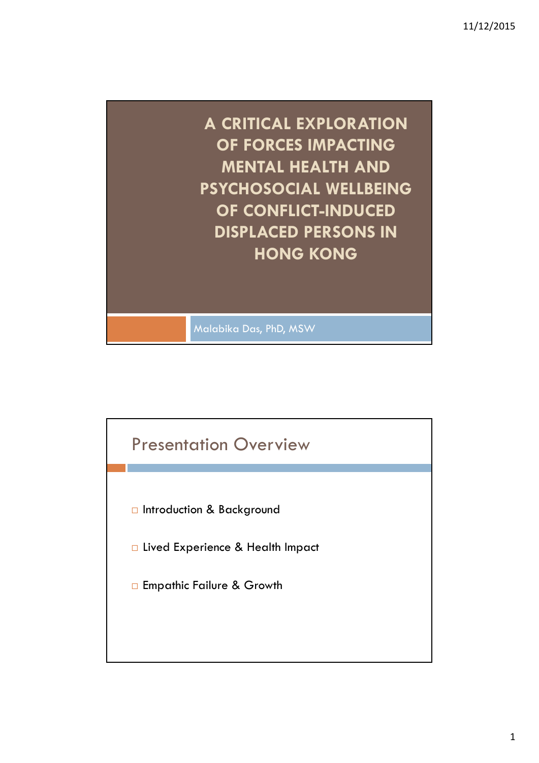

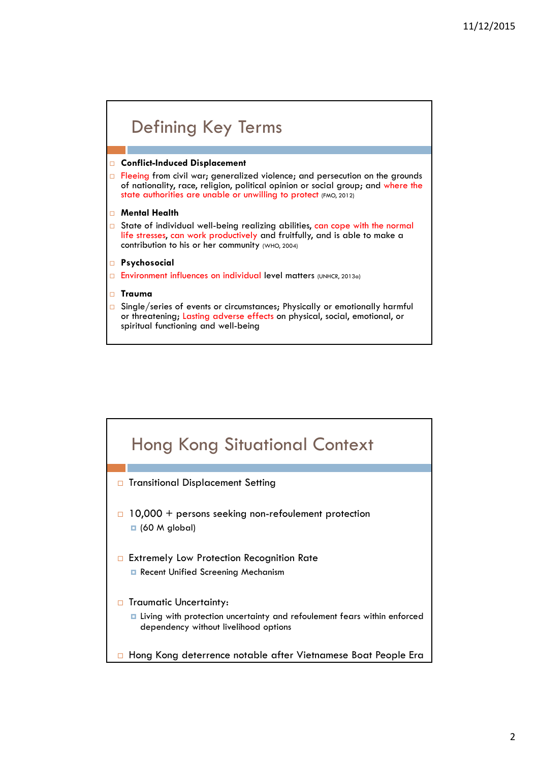## Defining Key Terms

### **Conflict-Induced Displacement**

 $\Box$  Fleeing from civil war; generalized violence; and persecution on the grounds of nationality, race, religion, political opinion or social group; and where the state authorities are unable or unwilling to protect (FMO, 2012)

#### **Mental Health**

- $\Box$  State of individual well-being realizing abilities, can cope with the normal life stresses, can work productively and fruitfully, and is able to make a contribution to his or her community (WHO, 2004)
- **Psychosocial**
- Environment influences on individual level matters (UNHCR, 2013a)
- **Trauma**
- $\Box$  Single/series of events or circumstances; Physically or emotionally harmful or threatening; Lasting adverse effects on physical, social, emotional, or spiritual functioning and well-being

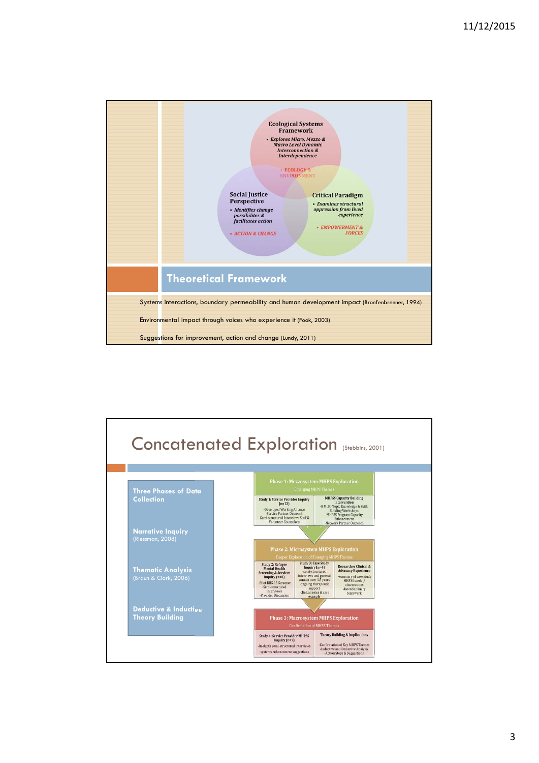

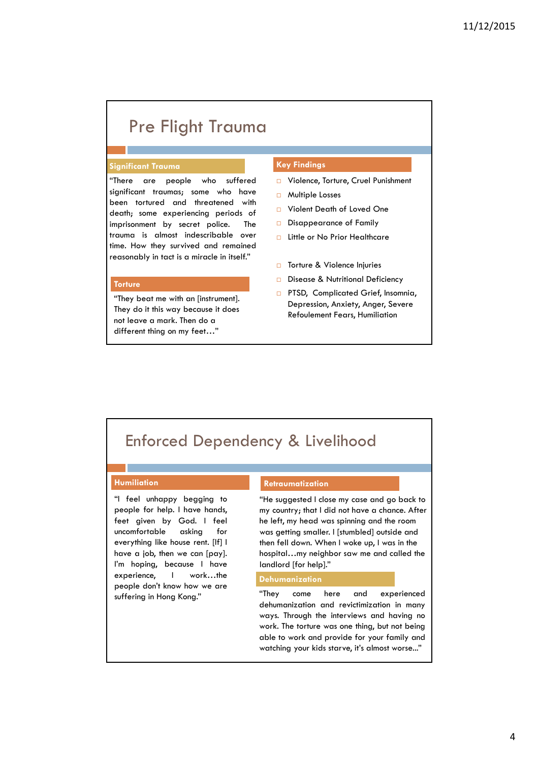## Pre Flight Trauma

### **Significant Trauma Key Findings**

"There are people who suffered significant traumas; some who have been tortured and threatened with death; some experiencing periods of imprisonment by secret police. The trauma is almost indescribable over time. How they survived and remained reasonably in tact is a miracle in itself."

#### **Torture**

"They beat me with an [instrument]. They do it this way because it does not leave a mark. Then do a different thing on my feet…"

- □ Violence, Torture, Cruel Punishment
- □ Multiple Losses
- Violent Death of Loved One
- Disappearance of Family
- □ Little or No Prior Healthcare
- □ Torture & Violence Injuries
- Disease & Nutritional Deficiency
- **PTSD, Complicated Grief, Insomnia,** Depression, Anxiety, Anger, Severe Refoulement Fears, Humiliation

## Enforced Dependency & Livelihood

#### **Humiliation**

"I feel unhappy begging to people for help. I have hands, feet given by God. I feel uncomfortable asking for everything like house rent. [If] I have a job, then we can [pay]. I'm hoping, because I have experience, I work…the people don't know how we are

#### **Retraumatization**

"He suggested I close my case and go back to my country; that I did not have a chance. After he left, my head was spinning and the room was getting smaller. I [stumbled] outside and then fell down. When I woke up, I was in the hospital…my neighbor saw me and called the landlord [for help]."

#### **Dehumanization**

suffering in Hong Kong." "They come here and experienced dehumanization and revictimization in many ways. Through the interviews and having no work. The torture was one thing, but not being able to work and provide for your family and watching your kids starve, it's almost worse..."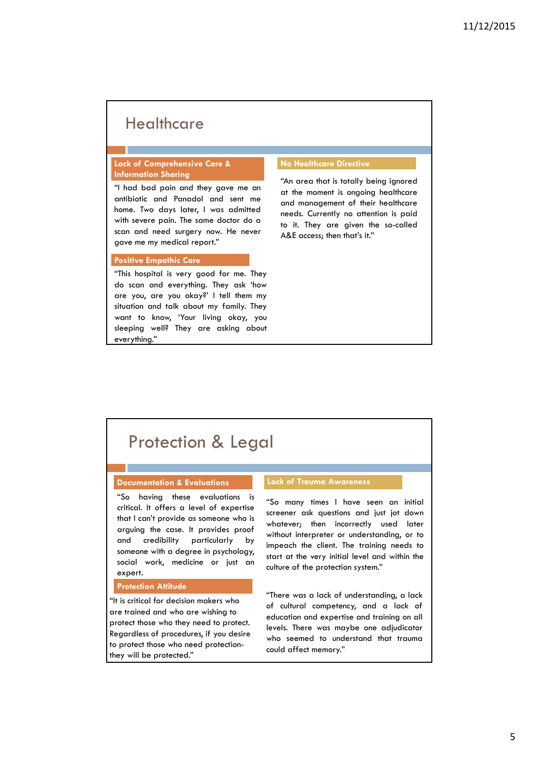## **Healthcare**

### **Lack of Comprehensive Care & Information Sharing**

"I had bad pain and they gave me an antibiotic and Panadol and sent me home. Two days later, I was admitted with severe pain. The same doctor do a scan and need surgery now. He never gave me my medical report."

#### **Positive Empathic Care**

"This hospital is very good for me. They do scan and everything. They ask 'how are you, are you okay?' I tell them my situation and talk about my family. They want to know, 'Your living okay, you sleeping well? They are asking about everything."

#### **No Healthcare Directive**

"An area that is totally being ignored at the moment is ongoing healthcare and management of their healthcare needs. Currently no attention is paid to it. They are given the so-called A&E access; then that's it."

## Protection & Legal

### **Documentation & Evaluations Lack of Trauma Awareness**

"So having these evaluations is critical. It offers a level of expertise that I can't provide as someone who is arguing the case. It provides proof and credibility particularly by someone with a degree in psychology, social work, medicine or just an expert.

#### **Protection Attitude**

"It is critical for decision makers who are trained and who are wishing to protect those who they need to protect. Regardless of procedures, if you desire to protect those who need protectionthey will be protected."

"So many times I have seen an initial screener ask questions and just jot down whatever; then incorrectly used later without interpreter or understanding, or to impeach the client. The training needs to start at the very initial level and within the culture of the protection system."

"There was a lack of understanding, a lack of cultural competency, and a lack of education and expertise and training on all levels. There was maybe one adjudicator who seemed to understand that trauma could affect memory."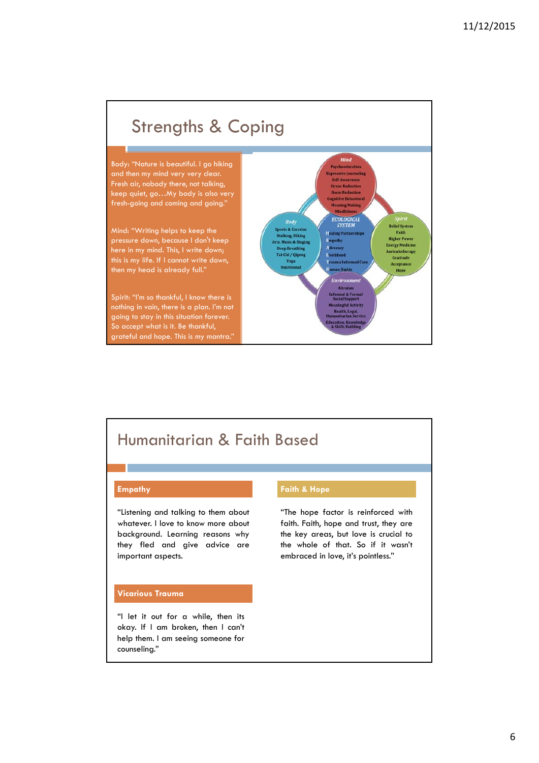

## Humanitarian & Faith Based

"Listening and talking to them about whatever. I love to know more about background. Learning reasons why they fled and give advice are important aspects.

#### **Vicarious Trauma**

"I let it out for a while, then its okay. If I am broken, then I can't help them. I am seeing someone for counseling."

### **Empathy Empathy Faith & Hope**

"The hope factor is reinforced with faith. Faith, hope and trust, they are the key areas, but love is crucial to the whole of that. So if it wasn't embraced in love, it's pointless."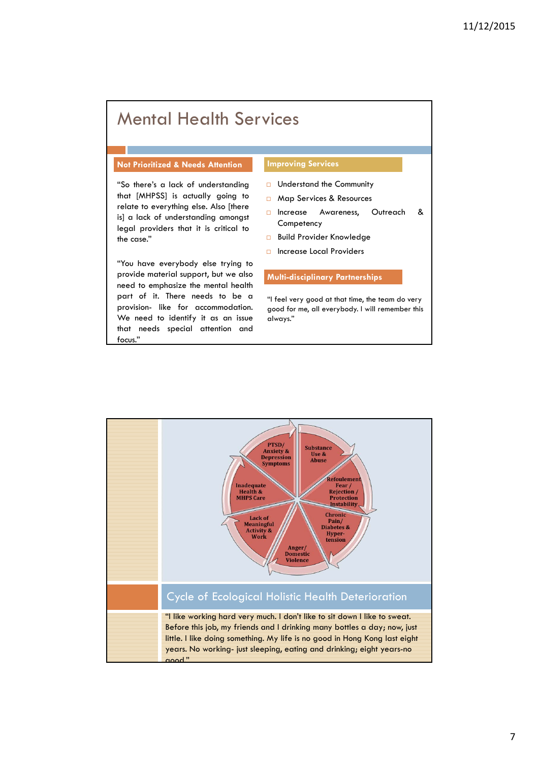# Mental Health Services

#### **Not Prioritized & Needs Attention Improving Services**

"So there's a lack of understanding that [MHPSS] is actually going to relate to everything else. Also [there is] a lack of understanding amongst legal providers that it is critical to the case."

"You have everybody else trying to provide material support, but we also need to emphasize the mental health part of it. There needs to be a provision- like for accommodation. We need to identify it as an issue that needs special attention and focus."

- $\Box$  Understand the Community
- Map Services & Resources
- n Increase Awareness, Outreach & **Competency**
- **Build Provider Knowledge**
- □ Increase Local Providers

#### **Multi-disciplinary Partnerships**

"I feel very good at that time, the team do very good for me, all everybody. I will remember this always."

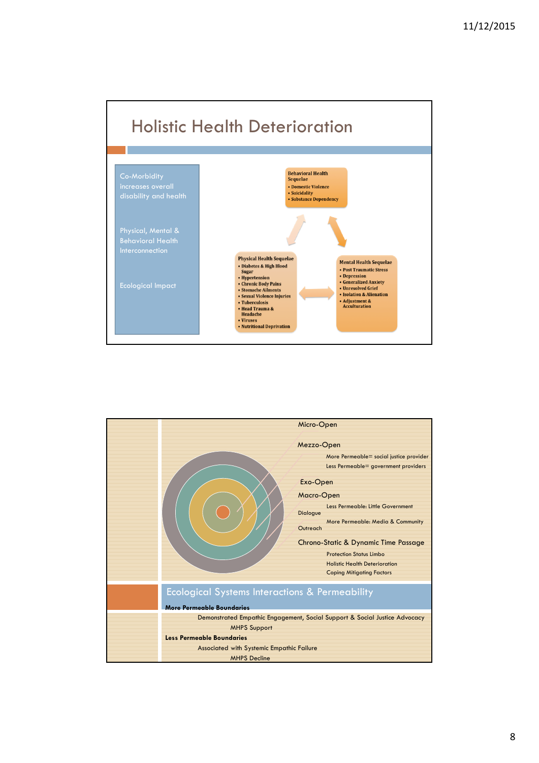

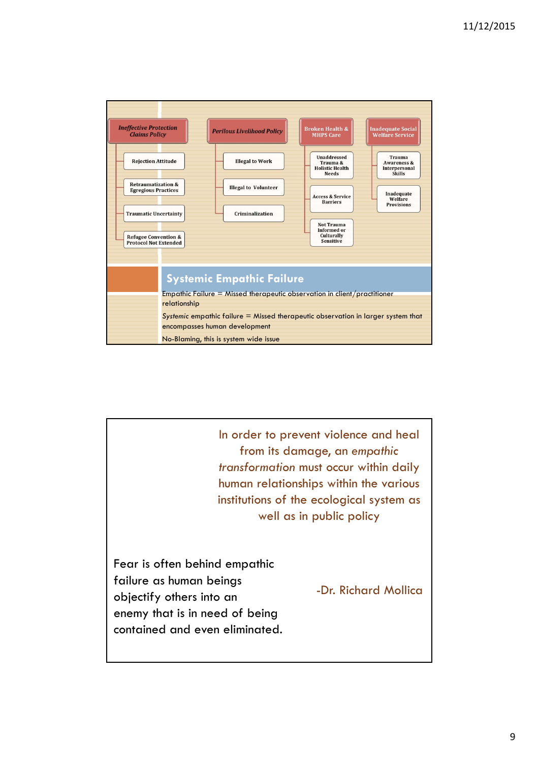

In order to prevent violence and heal from its damage, an *empathic transformation* must occur within daily human relationships within the various institutions of the ecological system as well as in public policy

Fear is often behind empathic failure as human beings objectify others into an enemy that is in need of being contained and even eliminated.

-Dr. Richard Mollica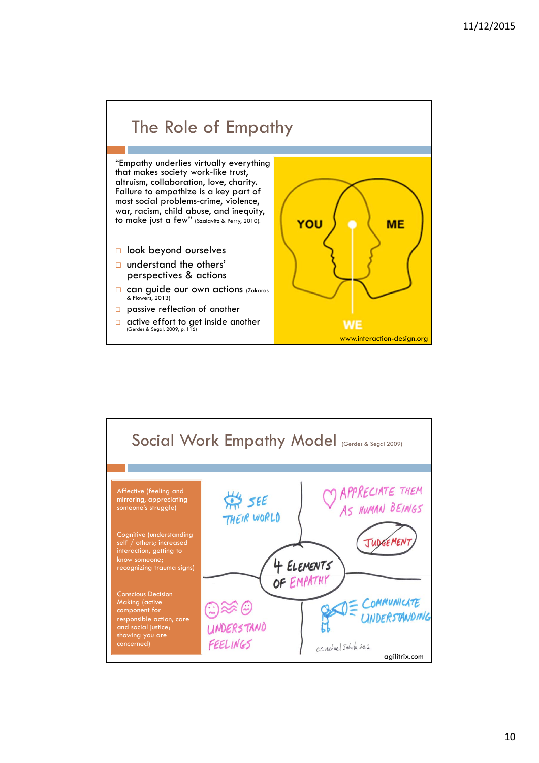

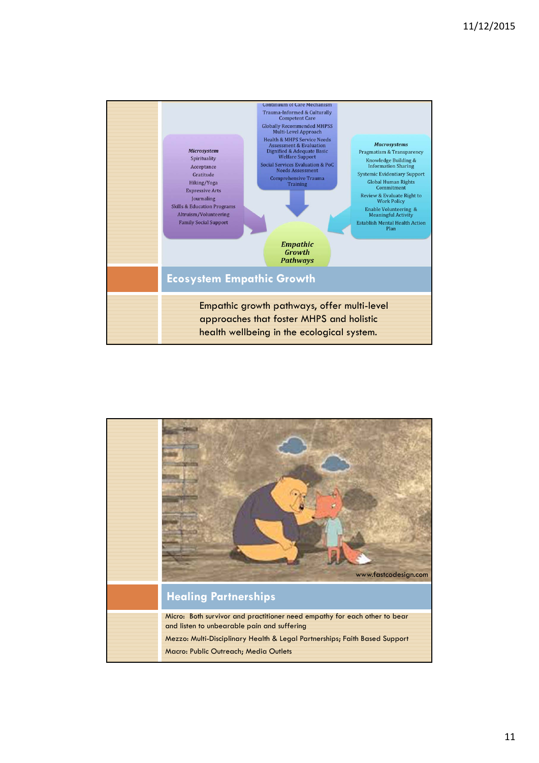

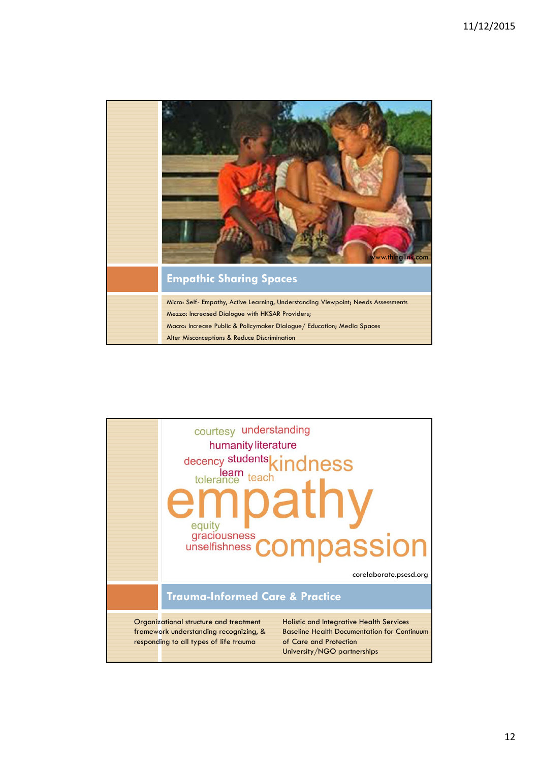

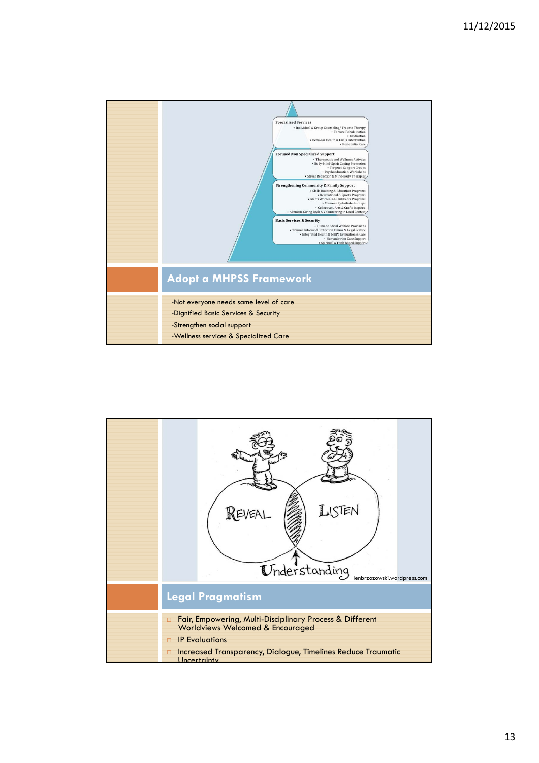